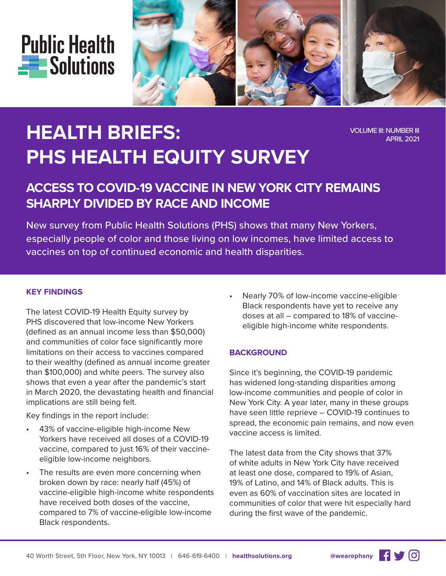



# **HEALTH BRIEFS: PHS HEALTH EQUITY SURVEY**

VOLUME III: NUMBER III APRIL 2021

# **ACCESS TO COVID-19 VACCINE IN NEW YORK CITY REMAINS SHARPLY DIVIDED BY RACE AND INCOME**

New survey from Public Health Solutions (PHS) shows that many New Yorkers, especially people of color and those living on low incomes, have limited access to vaccines on top of continued economic and health disparities.

#### **KEY FINDINGS**

The latest COVID-19 Health Equity survey by PHS discovered that low-income New Yorkers (defined as an annual income less than \$50,000) and communities of color face significantly more limitations on their access to vaccines compared to their wealthy (defined as annual income greater than \$100,000) and white peers. The survey also shows that even a year after the pandemic's start in March 2020, the devastating health and financial implications are still being felt.

Key findings in the report include:

- 43% of vaccine-eligible high-income New Yorkers have received all doses of a COVID-19 vaccine, compared to just 16% of their vaccineeligible low-income neighbors.
- The results are even more concerning when broken down by race: nearly half (45%) of vaccine-eligible high-income white respondents have received both doses of the vaccine, compared to 7% of vaccine-eligible low-income Black respondents.

• Nearly 70% of low-income vaccine-eligible Black respondents have yet to receive any doses at all – compared to 18% of vaccineeligible high-income white respondents.

#### **BACKGROUND**

Since it's beginning, the COVID-19 pandemic has widened long-standing disparities among low-income communities and people of color in New York City. A year later, many in these groups have seen little reprieve – COVID-19 continues to spread, the economic pain remains, and now even vaccine access is limited.

The latest data from the City shows that 37% of white adults in New York City have received at least one dose, compared to 19% of Asian, 19% of Latino, and 14% of Black adults. This is even as 60% of vaccination sites are located in communities of color that were hit especially hard during the first wave of the pandemic.

 $\mathbf{G}$   $\mathbf{V}$   $\mathbf{G}$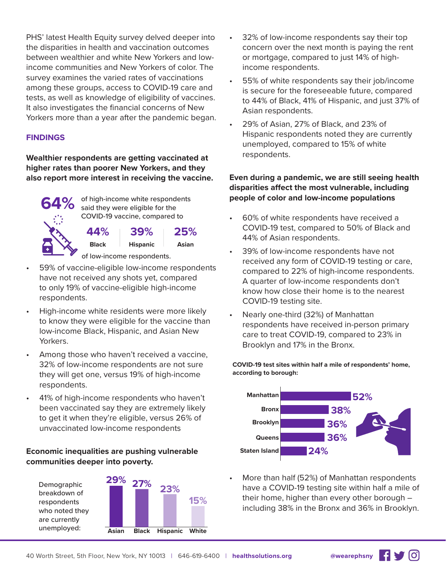PHS' latest Health Equity survey delved deeper into the disparities in health and vaccination outcomes between wealthier and white New Yorkers and lowincome communities and New Yorkers of color. The survey examines the varied rates of vaccinations among these groups, access to COVID-19 care and tests, as well as knowledge of eligibility of vaccines. It also investigates the financial concerns of New Yorkers more than a year after the pandemic began.

## **FINDINGS**

**Wealthier respondents are getting vaccinated at higher rates than poorer New Yorkers, and they also report more interest in receiving the vaccine.** 



of high-income white respondents said they were eligible for the COVID-19 vaccine, compared to

> **39% 25%**

**Hispanic Asian**

of low-income respondents.

59% of vaccine-eligible low-income respondents have not received any shots yet, compared to only 19% of vaccine-eligible high-income respondents.

**Black 44%**

- High-income white residents were more likely to know they were eligible for the vaccine than low-income Black, Hispanic, and Asian New Yorkers.
- Among those who haven't received a vaccine, 32% of low-income respondents are not sure they will get one, versus 19% of high-income respondents.
- 41% of high-income respondents who haven't been vaccinated say they are extremely likely to get it when they're eligible, versus 26% of unvaccinated low-income respondents

# **Economic inequalities are pushing vulnerable communities deeper into poverty.**





- 32% of low-income respondents say their top concern over the next month is paying the rent or mortgage, compared to just 14% of highincome respondents.
- 55% of white respondents say their job/income is secure for the foreseeable future, compared to 44% of Black, 41% of Hispanic, and just 37% of Asian respondents.
- 29% of Asian, 27% of Black, and 23% of Hispanic respondents noted they are currently unemployed, compared to 15% of white respondents.

# **Even during a pandemic, we are still seeing health disparities affect the most vulnerable, including people of color and low-income populations**

- 60% of white respondents have received a COVID-19 test, compared to 50% of Black and 44% of Asian respondents.
- 39% of low-income respondents have not received any form of COVID-19 testing or care, compared to 22% of high-income respondents. A quarter of low-income respondents don't know how close their home is to the nearest COVID-19 testing site.
- Nearly one-third (32%) of Manhattan respondents have received in-person primary care to treat COVID-19, compared to 23% in Brooklyn and 17% in the Bronx.

#### **COVID-19 test sites within half a mile of respondents' home, according to borough:**



• More than half (52%) of Manhattan respondents have a COVID-19 testing site within half a mile of their home, higher than every other borough – including 38% in the Bronx and 36% in Brooklyn.

<u>ଚ</u>